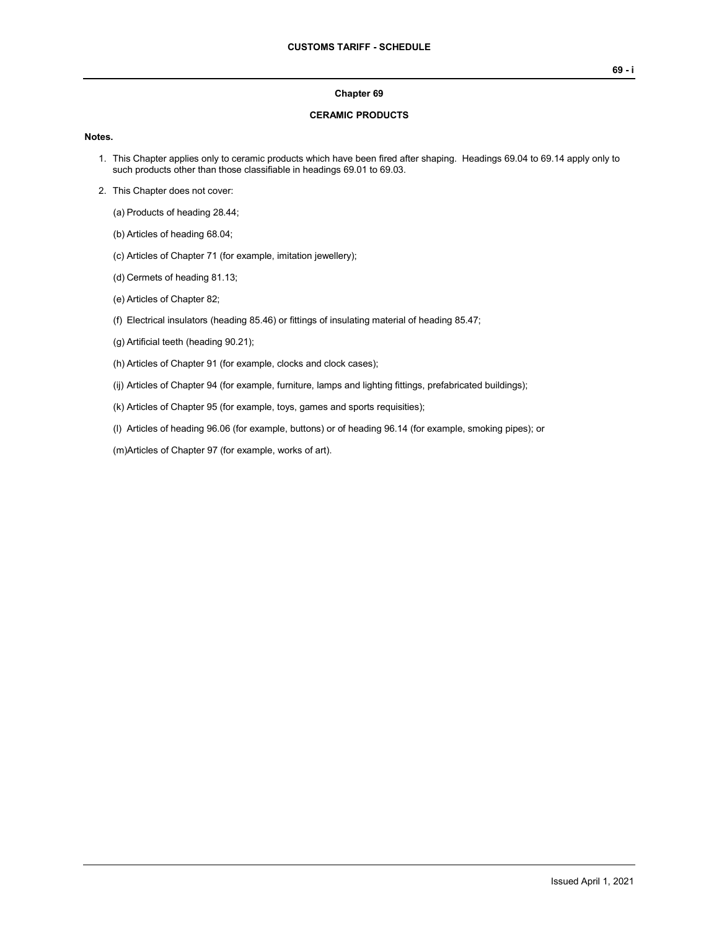## **Chapter 69**

## **CERAMIC PRODUCTS**

## **Notes.**

- 1. This Chapter applies only to ceramic products which have been fired after shaping. Headings 69.04 to 69.14 apply only to such products other than those classifiable in headings 69.01 to 69.03.
- 2. This Chapter does not cover:

(a) Products of heading 28.44;

- (b) Articles of heading 68.04;
- (c) Articles of Chapter 71 (for example, imitation jewellery);
- (d) Cermets of heading 81.13;
- (e) Articles of Chapter 82;
- (f) Electrical insulators (heading 85.46) or fittings of insulating material of heading 85.47;
- (g) Artificial teeth (heading 90.21);
- (h) Articles of Chapter 91 (for example, clocks and clock cases);
- (ij) Articles of Chapter 94 (for example, furniture, lamps and lighting fittings, prefabricated buildings);
- (k) Articles of Chapter 95 (for example, toys, games and sports requisities);
- (l) Articles of heading 96.06 (for example, buttons) or of heading 96.14 (for example, smoking pipes); or
- (m)Articles of Chapter 97 (for example, works of art).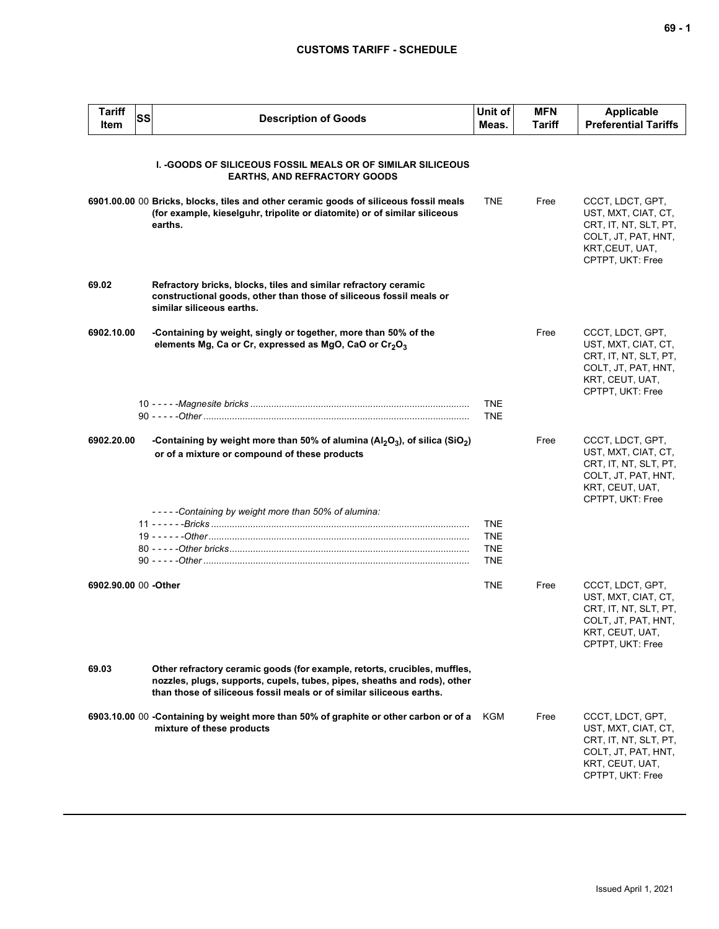## **CUSTOMS TARIFF - SCHEDULE**

| <b>Tariff</b><br>Item | SS                        | <b>Description of Goods</b>                                                                                                                                                                                                   | Unit of<br>Meas.                                     | <b>MFN</b><br>Tariff | Applicable<br><b>Preferential Tariffs</b>                                                                                      |
|-----------------------|---------------------------|-------------------------------------------------------------------------------------------------------------------------------------------------------------------------------------------------------------------------------|------------------------------------------------------|----------------------|--------------------------------------------------------------------------------------------------------------------------------|
|                       |                           | <b>I. -GOODS OF SILICEOUS FOSSIL MEALS OR OF SIMILAR SILICEOUS</b><br><b>EARTHS, AND REFRACTORY GOODS</b>                                                                                                                     |                                                      |                      |                                                                                                                                |
|                       | earths.                   | 6901.00.00 00 Bricks, blocks, tiles and other ceramic goods of siliceous fossil meals<br>(for example, kieselguhr, tripolite or diatomite) or of similar siliceous                                                            | <b>TNE</b>                                           | Free                 | CCCT, LDCT, GPT,<br>UST, MXT, CIAT, CT,<br>CRT, IT, NT, SLT, PT,<br>COLT, JT, PAT, HNT,<br>KRT, CEUT, UAT,<br>CPTPT, UKT: Free |
| 69.02                 | similar siliceous earths. | Refractory bricks, blocks, tiles and similar refractory ceramic<br>constructional goods, other than those of siliceous fossil meals or                                                                                        |                                                      |                      |                                                                                                                                |
| 6902.10.00            |                           | -Containing by weight, singly or together, more than 50% of the<br>elements Mg, Ca or Cr, expressed as MgO, CaO or Cr <sub>2</sub> O <sub>3</sub>                                                                             |                                                      | Free                 | CCCT, LDCT, GPT,<br>UST, MXT, CIAT, CT,<br>CRT, IT, NT, SLT, PT,<br>COLT, JT, PAT, HNT,<br>KRT, CEUT, UAT,<br>CPTPT, UKT: Free |
|                       |                           |                                                                                                                                                                                                                               | <b>TNE</b><br><b>TNE</b>                             |                      |                                                                                                                                |
| 6902.20.00            |                           | -Containing by weight more than 50% of alumina ( $Al_2O_3$ ), of silica (SiO <sub>2</sub> )<br>or of a mixture or compound of these products                                                                                  |                                                      | Free                 | CCCT, LDCT, GPT,<br>UST, MXT, CIAT, CT,<br>CRT, IT, NT, SLT, PT,<br>COLT, JT, PAT, HNT,<br>KRT, CEUT, UAT,<br>CPTPT, UKT: Free |
|                       |                           | -----Containing by weight more than 50% of alumina:                                                                                                                                                                           | <b>TNE</b><br><b>TNE</b><br><b>TNE</b><br><b>TNE</b> |                      |                                                                                                                                |
| 6902.90.00 00 -Other  |                           |                                                                                                                                                                                                                               | <b>TNE</b>                                           | Free                 | CCCT, LDCT, GPT,<br>UST, MXT, CIAT, CT,<br>CRT, IT, NT, SLT, PT,<br>COLT, JT, PAT, HNT,<br>KRT, CEUT, UAT,<br>CPTPT, UKT: Free |
| 69.03                 |                           | Other refractory ceramic goods (for example, retorts, crucibles, muffles,<br>nozzles, plugs, supports, cupels, tubes, pipes, sheaths and rods), other<br>than those of siliceous fossil meals or of similar siliceous earths. |                                                      |                      |                                                                                                                                |
|                       | mixture of these products | 6903.10.00 00 -Containing by weight more than 50% of graphite or other carbon or of a                                                                                                                                         | KGM                                                  | Free                 | CCCT, LDCT, GPT,<br>UST, MXT, CIAT, CT,<br>CRT, IT, NT, SLT, PT,<br>COLT, JT, PAT, HNT,<br>KRT, CEUT, UAT,<br>CPTPT, UKT: Free |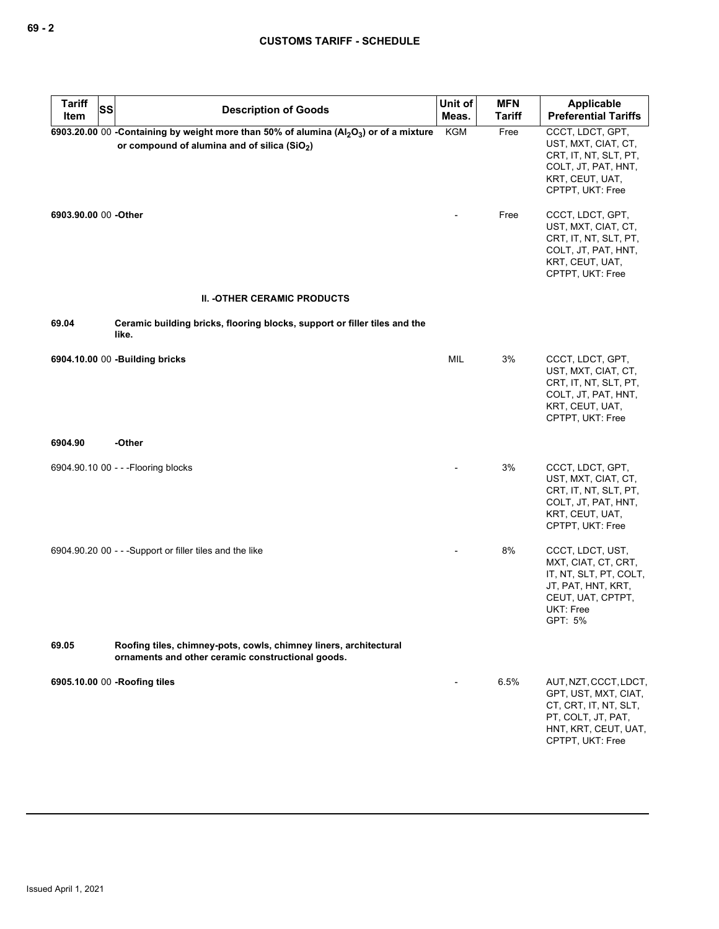| Tariff<br>SS<br>Item | <b>Description of Goods</b>                                                                                                                             | Unit of<br>Meas. | <b>MFN</b><br><b>Tariff</b> | Applicable<br><b>Preferential Tariffs</b>                                                                                                   |
|----------------------|---------------------------------------------------------------------------------------------------------------------------------------------------------|------------------|-----------------------------|---------------------------------------------------------------------------------------------------------------------------------------------|
|                      | 6903.20.00 00 - Containing by weight more than 50% of alumina ( $Al_2O_3$ ) or of a mixture<br>or compound of alumina and of silica (SiO <sub>2</sub> ) | <b>KGM</b>       | Free                        | CCCT, LDCT, GPT,<br>UST, MXT, CIAT, CT,<br>CRT, IT, NT, SLT, PT,<br>COLT, JT, PAT, HNT,<br>KRT, CEUT, UAT,<br>CPTPT, UKT: Free              |
| 6903.90.00 00 -Other |                                                                                                                                                         |                  | Free                        | CCCT, LDCT, GPT,<br>UST, MXT, CIAT, CT,<br>CRT, IT, NT, SLT, PT,<br>COLT, JT, PAT, HNT,<br>KRT, CEUT, UAT,<br>CPTPT, UKT: Free              |
|                      | <b>II. -OTHER CERAMIC PRODUCTS</b>                                                                                                                      |                  |                             |                                                                                                                                             |
| 69.04                | Ceramic building bricks, flooring blocks, support or filler tiles and the<br>like.                                                                      |                  |                             |                                                                                                                                             |
|                      | 6904.10.00 00 -Building bricks                                                                                                                          | MIL              | 3%                          | CCCT, LDCT, GPT,<br>UST, MXT, CIAT, CT,<br>CRT, IT, NT, SLT, PT,<br>COLT, JT, PAT, HNT,<br>KRT, CEUT, UAT,<br>CPTPT, UKT: Free              |
| 6904.90              | -Other                                                                                                                                                  |                  |                             |                                                                                                                                             |
|                      | 6904.90.10 00 - - - Flooring blocks                                                                                                                     |                  | 3%                          | CCCT, LDCT, GPT,<br>UST, MXT, CIAT, CT,<br>CRT, IT, NT, SLT, PT,<br>COLT, JT, PAT, HNT,<br>KRT, CEUT, UAT,<br>CPTPT, UKT: Free              |
|                      | 6904.90.20 00 - - - Support or filler tiles and the like                                                                                                |                  | 8%                          | CCCT, LDCT, UST,<br>MXT, CIAT, CT, CRT,<br>IT, NT, SLT, PT, COLT,<br>JT, PAT, HNT, KRT,<br>CEUT, UAT, CPTPT,<br><b>UKT: Free</b><br>GPT: 5% |
| 69.05                | Roofing tiles, chimney-pots, cowls, chimney liners, architectural<br>ornaments and other ceramic constructional goods.                                  |                  |                             |                                                                                                                                             |
|                      | 6905.10.00 00 -Roofing tiles                                                                                                                            |                  | 6.5%                        | AUT, NZT, CCCT, LDCT,<br>GPT, UST, MXT, CIAT,<br>CT, CRT, IT, NT, SLT,<br>PT, COLT, JT, PAT,<br>HNT, KRT, CEUT, UAT,<br>CPTPT, UKT: Free    |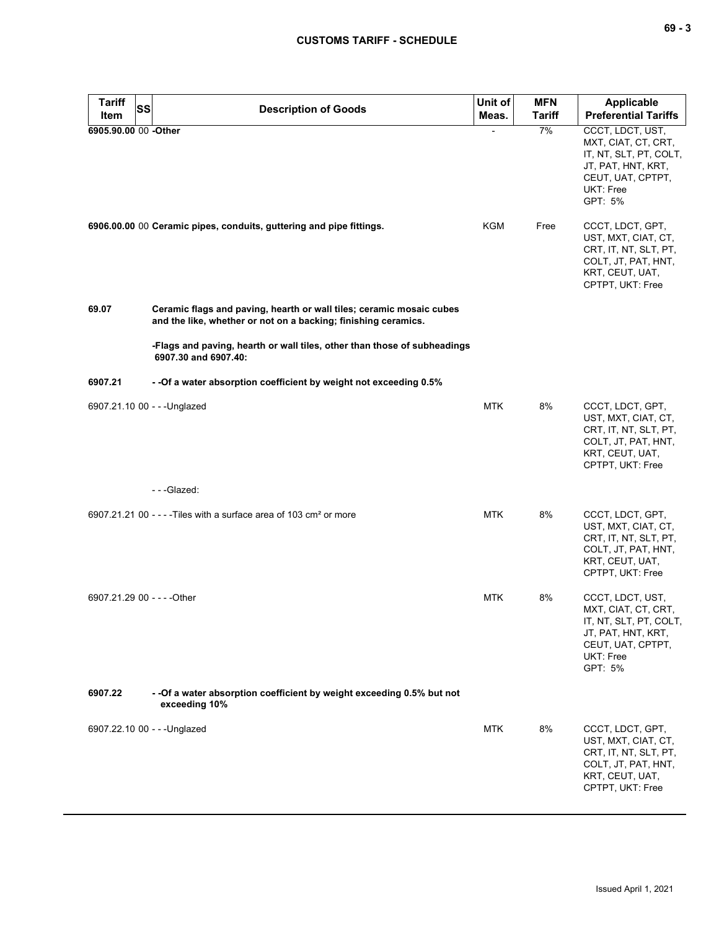| <b>Tariff</b><br><b>Item</b> | <b>SS</b> | <b>Description of Goods</b>                                                                                                            | Unit of<br>Meas. | <b>MFN</b><br><b>Tariff</b> | <b>Applicable</b><br><b>Preferential Tariffs</b>                                                                                     |
|------------------------------|-----------|----------------------------------------------------------------------------------------------------------------------------------------|------------------|-----------------------------|--------------------------------------------------------------------------------------------------------------------------------------|
| 6905.90.00 00 -Other         |           |                                                                                                                                        |                  | 7%                          | CCCT, LDCT, UST,<br>MXT, CIAT, CT, CRT,<br>IT, NT, SLT, PT, COLT,<br>JT, PAT, HNT, KRT,<br>CEUT, UAT, CPTPT,<br>UKT: Free<br>GPT: 5% |
|                              |           | 6906.00.00 00 Ceramic pipes, conduits, guttering and pipe fittings.                                                                    | KGM              | Free                        | CCCT, LDCT, GPT,<br>UST, MXT, CIAT, CT,<br>CRT, IT, NT, SLT, PT,<br>COLT, JT, PAT, HNT,<br>KRT, CEUT, UAT,<br>CPTPT, UKT: Free       |
| 69.07                        |           | Ceramic flags and paving, hearth or wall tiles; ceramic mosaic cubes<br>and the like, whether or not on a backing; finishing ceramics. |                  |                             |                                                                                                                                      |
|                              |           | -Flags and paving, hearth or wall tiles, other than those of subheadings<br>6907.30 and 6907.40:                                       |                  |                             |                                                                                                                                      |
| 6907.21                      |           | - - Of a water absorption coefficient by weight not exceeding 0.5%                                                                     |                  |                             |                                                                                                                                      |
|                              |           | 6907.21.10 00 - - - Unglazed                                                                                                           | <b>MTK</b>       | 8%                          | CCCT, LDCT, GPT,<br>UST, MXT, CIAT, CT,<br>CRT, IT, NT, SLT, PT,<br>COLT, JT, PAT, HNT,<br>KRT, CEUT, UAT,<br>CPTPT, UKT: Free       |
|                              |           | ---Glazed:                                                                                                                             |                  |                             |                                                                                                                                      |
|                              |           | 6907.21.21 00 - - - - Tiles with a surface area of 103 cm <sup>2</sup> or more                                                         | <b>MTK</b>       | 8%                          | CCCT, LDCT, GPT,<br>UST, MXT, CIAT, CT,<br>CRT, IT, NT, SLT, PT,<br>COLT, JT, PAT, HNT,<br>KRT, CEUT, UAT,<br>CPTPT, UKT: Free       |
| 6907.21.29 00 - - - - Other  |           |                                                                                                                                        | <b>MTK</b>       | 8%                          | CCCT, LDCT, UST,<br>MXT, CIAT, CT, CRT,<br>IT, NT, SLT, PT, COLT,<br>JT, PAT, HNT, KRT,<br>CEUT, UAT, CPTPT,<br>UKT: Free<br>GPT: 5% |
| 6907.22                      |           | - - Of a water absorption coefficient by weight exceeding 0.5% but not<br>exceeding 10%                                                |                  |                             |                                                                                                                                      |
|                              |           | 6907.22.10 00 - - - Unglazed                                                                                                           | <b>MTK</b>       | 8%                          | CCCT, LDCT, GPT,<br>UST, MXT, CIAT, CT,<br>CRT, IT, NT, SLT, PT,<br>COLT, JT, PAT, HNT,<br>KRT, CEUT, UAT,<br>CPTPT, UKT: Free       |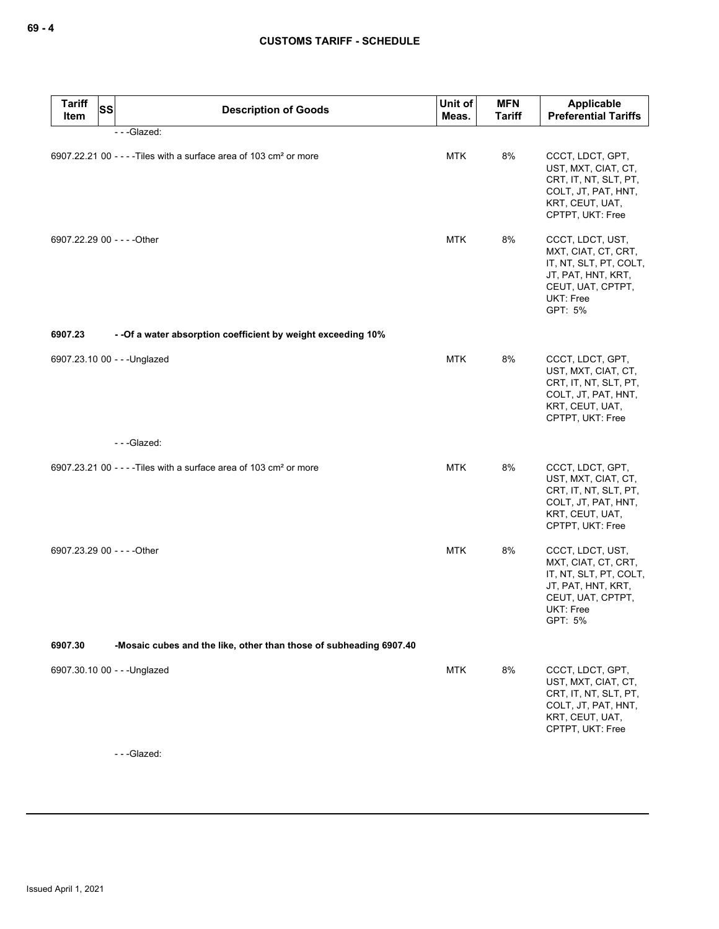| <b>Tariff</b><br><b>SS</b><br>Item | <b>Description of Goods</b>                                                    | Unit of<br>Meas. | <b>MFN</b><br><b>Tariff</b> | Applicable<br><b>Preferential Tariffs</b>                                                                                            |
|------------------------------------|--------------------------------------------------------------------------------|------------------|-----------------------------|--------------------------------------------------------------------------------------------------------------------------------------|
|                                    | ---Glazed:                                                                     |                  |                             |                                                                                                                                      |
|                                    | 6907.22.21 00 - - - - Tiles with a surface area of 103 cm <sup>2</sup> or more | <b>MTK</b>       | 8%                          | CCCT, LDCT, GPT,<br>UST, MXT, CIAT, CT,<br>CRT, IT, NT, SLT, PT,<br>COLT, JT, PAT, HNT,<br>KRT, CEUT, UAT,<br>CPTPT, UKT: Free       |
| 6907.22.29 00 - - - - Other        |                                                                                | <b>MTK</b>       | 8%                          | CCCT, LDCT, UST,<br>MXT, CIAT, CT, CRT,<br>IT, NT, SLT, PT, COLT,<br>JT, PAT, HNT, KRT,<br>CEUT, UAT, CPTPT,<br>UKT: Free<br>GPT: 5% |
| 6907.23                            | - - Of a water absorption coefficient by weight exceeding 10%                  |                  |                             |                                                                                                                                      |
|                                    | 6907.23.10 00 - - - Unglazed                                                   | <b>MTK</b>       | 8%                          | CCCT, LDCT, GPT,<br>UST, MXT, CIAT, CT,<br>CRT, IT, NT, SLT, PT,<br>COLT, JT, PAT, HNT,<br>KRT, CEUT, UAT,<br>CPTPT, UKT: Free       |
|                                    | ---Glazed:                                                                     |                  |                             |                                                                                                                                      |
|                                    | 6907.23.21 00 - - - - Tiles with a surface area of 103 cm <sup>2</sup> or more | <b>MTK</b>       | 8%                          | CCCT, LDCT, GPT,<br>UST, MXT, CIAT, CT,<br>CRT, IT, NT, SLT, PT,<br>COLT, JT, PAT, HNT,<br>KRT, CEUT, UAT,<br>CPTPT, UKT: Free       |
| 6907.23.29 00 - - - - Other        |                                                                                | <b>MTK</b>       | 8%                          | CCCT, LDCT, UST,<br>MXT, CIAT, CT, CRT,<br>IT, NT, SLT, PT, COLT,<br>JT, PAT, HNT, KRT,<br>CEUT, UAT, CPTPT,<br>UKT: Free<br>GPT: 5% |
| 6907.30                            | -Mosaic cubes and the like, other than those of subheading 6907.40             |                  |                             |                                                                                                                                      |
|                                    | 6907.30.10 00 - - - Unglazed                                                   | <b>MTK</b>       | 8%                          | CCCT, LDCT, GPT,<br>UST, MXT, CIAT, CT,<br>CRT, IT, NT, SLT, PT,<br>COLT, JT, PAT, HNT,<br>KRT, CEUT, UAT,<br>CPTPT, UKT: Free       |

- - -Glazed: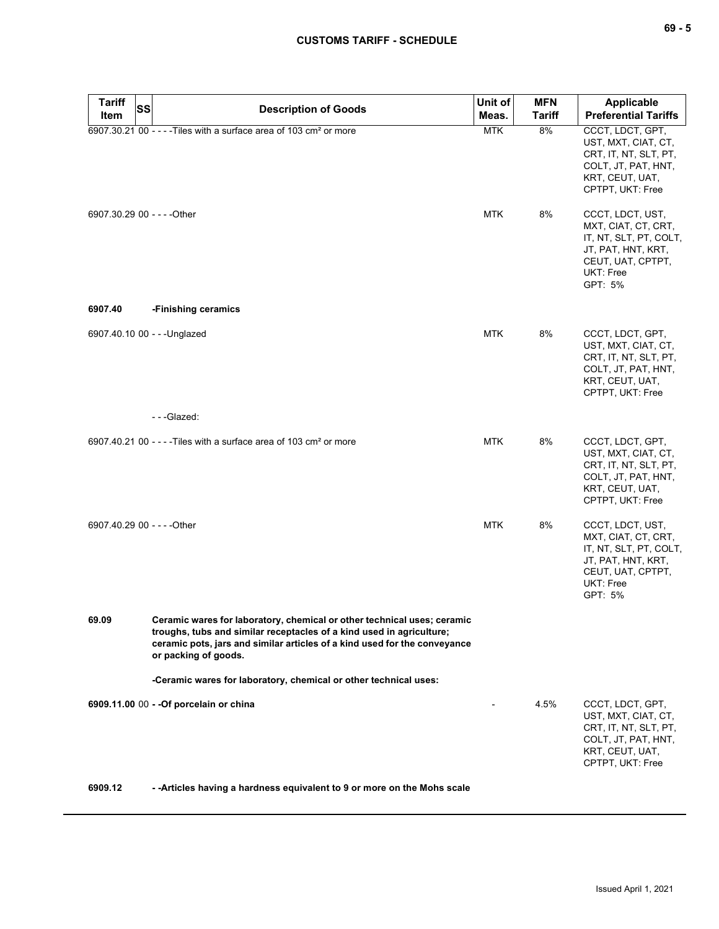| <b>Tariff</b>               | SS<br><b>Description of Goods</b>                                                                                                                                                                                                                    | Unit of    | <b>MFN</b>    | Applicable                                                                                                                                  |
|-----------------------------|------------------------------------------------------------------------------------------------------------------------------------------------------------------------------------------------------------------------------------------------------|------------|---------------|---------------------------------------------------------------------------------------------------------------------------------------------|
| Item                        |                                                                                                                                                                                                                                                      | Meas.      | <b>Tariff</b> | <b>Preferential Tariffs</b>                                                                                                                 |
|                             | 6907.30.21 00 - - - - Tiles with a surface area of 103 cm <sup>2</sup> or more                                                                                                                                                                       | <b>MTK</b> | 8%            | CCCT, LDCT, GPT,<br>UST, MXT, CIAT, CT,<br>CRT, IT, NT, SLT, PT,<br>COLT, JT, PAT, HNT,<br>KRT, CEUT, UAT,<br>CPTPT, UKT: Free              |
| 6907.30.29 00 - - - - Other |                                                                                                                                                                                                                                                      | <b>MTK</b> | 8%            | CCCT, LDCT, UST,<br>MXT, CIAT, CT, CRT,<br>IT, NT, SLT, PT, COLT,<br>JT, PAT, HNT, KRT,<br>CEUT, UAT, CPTPT,<br>UKT: Free<br>GPT: 5%        |
| 6907.40                     | -Finishing ceramics                                                                                                                                                                                                                                  |            |               |                                                                                                                                             |
|                             | 6907.40.10 00 - - - Unglazed                                                                                                                                                                                                                         | <b>MTK</b> | 8%            | CCCT, LDCT, GPT,<br>UST, MXT, CIAT, CT,<br>CRT, IT, NT, SLT, PT,<br>COLT, JT, PAT, HNT,<br>KRT, CEUT, UAT,<br>CPTPT, UKT: Free              |
|                             | ---Glazed:                                                                                                                                                                                                                                           |            |               |                                                                                                                                             |
|                             | 6907.40.21 00 - - - - Tiles with a surface area of 103 cm <sup>2</sup> or more                                                                                                                                                                       | <b>MTK</b> | 8%            | CCCT, LDCT, GPT,<br>UST, MXT, CIAT, CT,<br>CRT, IT, NT, SLT, PT,<br>COLT, JT, PAT, HNT,<br>KRT, CEUT, UAT,<br>CPTPT, UKT: Free              |
| 6907.40.29 00 - - - - Other |                                                                                                                                                                                                                                                      | <b>MTK</b> | 8%            | CCCT, LDCT, UST,<br>MXT, CIAT, CT, CRT,<br>IT, NT, SLT, PT, COLT,<br>JT, PAT, HNT, KRT,<br>CEUT, UAT, CPTPT,<br><b>UKT: Free</b><br>GPT: 5% |
| 69.09                       | Ceramic wares for laboratory, chemical or other technical uses; ceramic<br>troughs, tubs and similar receptacles of a kind used in agriculture;<br>ceramic pots, jars and similar articles of a kind used for the conveyance<br>or packing of goods. |            |               |                                                                                                                                             |
|                             | -Ceramic wares for laboratory, chemical or other technical uses:                                                                                                                                                                                     |            |               |                                                                                                                                             |
|                             | 6909.11.00 00 - - Of porcelain or china                                                                                                                                                                                                              |            | 4.5%          | CCCT, LDCT, GPT,<br>UST, MXT, CIAT, CT,<br>CRT, IT, NT, SLT, PT,<br>COLT, JT, PAT, HNT,<br>KRT, CEUT, UAT,<br>CPTPT, UKT: Free              |
| 6909.12                     | -- Articles having a hardness equivalent to 9 or more on the Mohs scale                                                                                                                                                                              |            |               |                                                                                                                                             |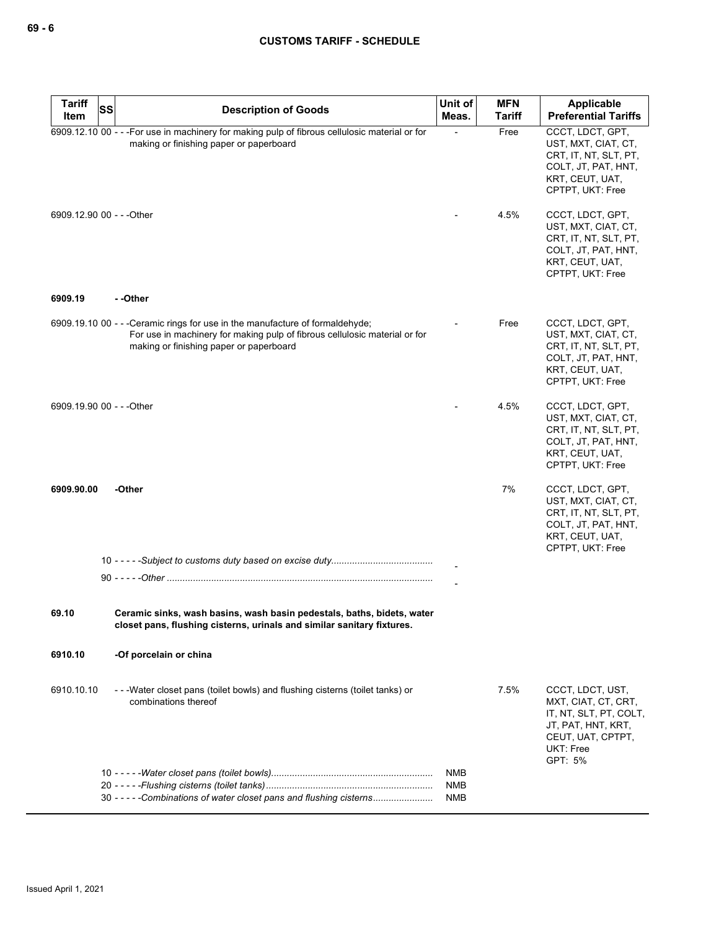| Tariff<br>Item            | SS | <b>Description of Goods</b>                                                                                                                                                                            | Unit of<br>Meas. | <b>MFN</b><br><b>Tariff</b> | Applicable<br><b>Preferential Tariffs</b>                                                                                            |
|---------------------------|----|--------------------------------------------------------------------------------------------------------------------------------------------------------------------------------------------------------|------------------|-----------------------------|--------------------------------------------------------------------------------------------------------------------------------------|
|                           |    | 6909.12.10 00 - - - For use in machinery for making pulp of fibrous cellulosic material or for<br>making or finishing paper or paperboard                                                              |                  | Free                        | CCCT, LDCT, GPT,<br>UST, MXT, CIAT, CT,<br>CRT, IT, NT, SLT, PT,<br>COLT, JT, PAT, HNT,<br>KRT, CEUT, UAT,<br>CPTPT, UKT: Free       |
| 6909.12.90 00 - - - Other |    |                                                                                                                                                                                                        |                  | 4.5%                        | CCCT, LDCT, GPT,<br>UST, MXT, CIAT, CT,<br>CRT, IT, NT, SLT, PT,<br>COLT, JT, PAT, HNT,<br>KRT, CEUT, UAT,<br>CPTPT, UKT: Free       |
| 6909.19                   |    | --Other                                                                                                                                                                                                |                  |                             |                                                                                                                                      |
|                           |    | 6909.19.10 00 - - - Ceramic rings for use in the manufacture of formaldehyde;<br>For use in machinery for making pulp of fibrous cellulosic material or for<br>making or finishing paper or paperboard |                  | Free                        | CCCT, LDCT, GPT,<br>UST, MXT, CIAT, CT,<br>CRT, IT, NT, SLT, PT,<br>COLT, JT, PAT, HNT,<br>KRT, CEUT, UAT,<br>CPTPT, UKT: Free       |
| 6909.19.90 00 - - - Other |    |                                                                                                                                                                                                        |                  | 4.5%                        | CCCT, LDCT, GPT,<br>UST, MXT, CIAT, CT,<br>CRT, IT, NT, SLT, PT,<br>COLT, JT, PAT, HNT,<br>KRT, CEUT, UAT,<br>CPTPT, UKT: Free       |
| 6909.90.00                |    | -Other                                                                                                                                                                                                 |                  | 7%                          | CCCT, LDCT, GPT,<br>UST, MXT, CIAT, CT,<br>CRT, IT, NT, SLT, PT,<br>COLT, JT, PAT, HNT,<br>KRT, CEUT, UAT,<br>CPTPT, UKT: Free       |
|                           |    |                                                                                                                                                                                                        |                  |                             |                                                                                                                                      |
|                           |    |                                                                                                                                                                                                        |                  |                             |                                                                                                                                      |
| 69.10                     |    | Ceramic sinks, wash basins, wash basin pedestals, baths, bidets, water<br>closet pans, flushing cisterns, urinals and similar sanitary fixtures.                                                       |                  |                             |                                                                                                                                      |
| 6910.10                   |    | -Of porcelain or china                                                                                                                                                                                 |                  |                             |                                                                                                                                      |
| 6910.10.10                |    | - - - Water closet pans (toilet bowls) and flushing cisterns (toilet tanks) or<br>combinations thereof                                                                                                 |                  | 7.5%                        | CCCT, LDCT, UST,<br>MXT, CIAT, CT, CRT,<br>IT, NT, SLT, PT, COLT,<br>JT, PAT, HNT, KRT,<br>CEUT, UAT, CPTPT,<br>UKT: Free<br>GPT: 5% |
|                           |    |                                                                                                                                                                                                        | NMB<br>NMB       |                             |                                                                                                                                      |
|                           |    | 30 - - - - - Combinations of water closet pans and flushing cisterns                                                                                                                                   | NMB              |                             |                                                                                                                                      |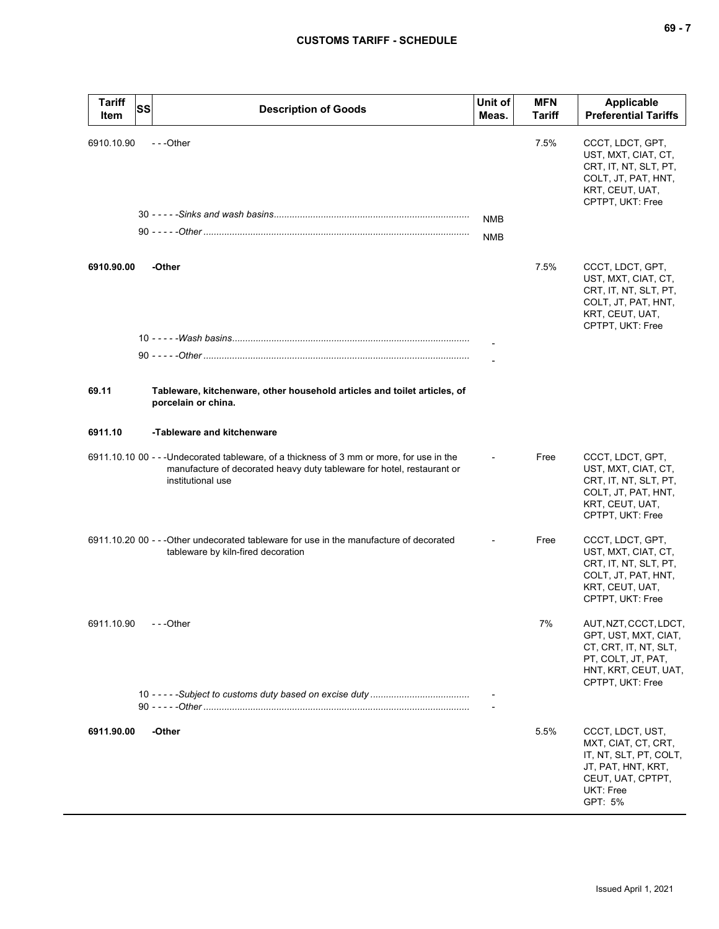| <b>Tariff</b><br>Item | SS | <b>Description of Goods</b>                                                                                                                                                              | Unit of<br>Meas.         | <b>MFN</b><br>Tariff | <b>Applicable</b><br><b>Preferential Tariffs</b>                                                                                         |
|-----------------------|----|------------------------------------------------------------------------------------------------------------------------------------------------------------------------------------------|--------------------------|----------------------|------------------------------------------------------------------------------------------------------------------------------------------|
| 6910.10.90            |    | ---Other                                                                                                                                                                                 | <b>NMB</b><br><b>NMB</b> | 7.5%                 | CCCT, LDCT, GPT,<br>UST, MXT, CIAT, CT,<br>CRT, IT, NT, SLT, PT,<br>COLT, JT, PAT, HNT,<br>KRT, CEUT, UAT,<br>CPTPT, UKT: Free           |
| 6910.90.00            |    | -Other                                                                                                                                                                                   |                          | 7.5%                 | CCCT, LDCT, GPT,<br>UST, MXT, CIAT, CT,<br>CRT, IT, NT, SLT, PT,<br>COLT, JT, PAT, HNT,<br>KRT, CEUT, UAT,<br>CPTPT, UKT: Free           |
| 69.11                 |    | Tableware, kitchenware, other household articles and toilet articles, of<br>porcelain or china.                                                                                          |                          |                      |                                                                                                                                          |
| 6911.10               |    | -Tableware and kitchenware                                                                                                                                                               |                          |                      |                                                                                                                                          |
|                       |    | 6911.10.10 00 - - - Undecorated tableware, of a thickness of 3 mm or more, for use in the<br>manufacture of decorated heavy duty tableware for hotel, restaurant or<br>institutional use |                          | Free                 | CCCT, LDCT, GPT,<br>UST, MXT, CIAT, CT,<br>CRT, IT, NT, SLT, PT,<br>COLT, JT, PAT, HNT,<br>KRT, CEUT, UAT,<br>CPTPT, UKT: Free           |
|                       |    | 6911.10.20 00 - - - Other undecorated tableware for use in the manufacture of decorated<br>tableware by kiln-fired decoration                                                            |                          | Free                 | CCCT, LDCT, GPT,<br>UST, MXT, CIAT, CT,<br>CRT, IT, NT, SLT, PT,<br>COLT, JT, PAT, HNT,<br>KRT, CEUT, UAT,<br>CPTPT, UKT: Free           |
| 6911.10.90            |    | ---Other                                                                                                                                                                                 |                          | $7%$                 | AUT, NZT, CCCT, LDCT,<br>GPT, UST, MXT, CIAT,<br>CT, CRT, IT, NT, SLT,<br>PT, COLT, JT, PAT,<br>HNT, KRT, CEUT, UAT,<br>CPTPT, UKT: Free |
|                       |    |                                                                                                                                                                                          |                          |                      |                                                                                                                                          |
| 6911.90.00            |    | -Other                                                                                                                                                                                   |                          | 5.5%                 | CCCT, LDCT, UST,<br>MXT, CIAT, CT, CRT,<br>IT, NT, SLT, PT, COLT,<br>JT, PAT, HNT, KRT,<br>CEUT, UAT, CPTPT,<br>UKT: Free<br>GPT: 5%     |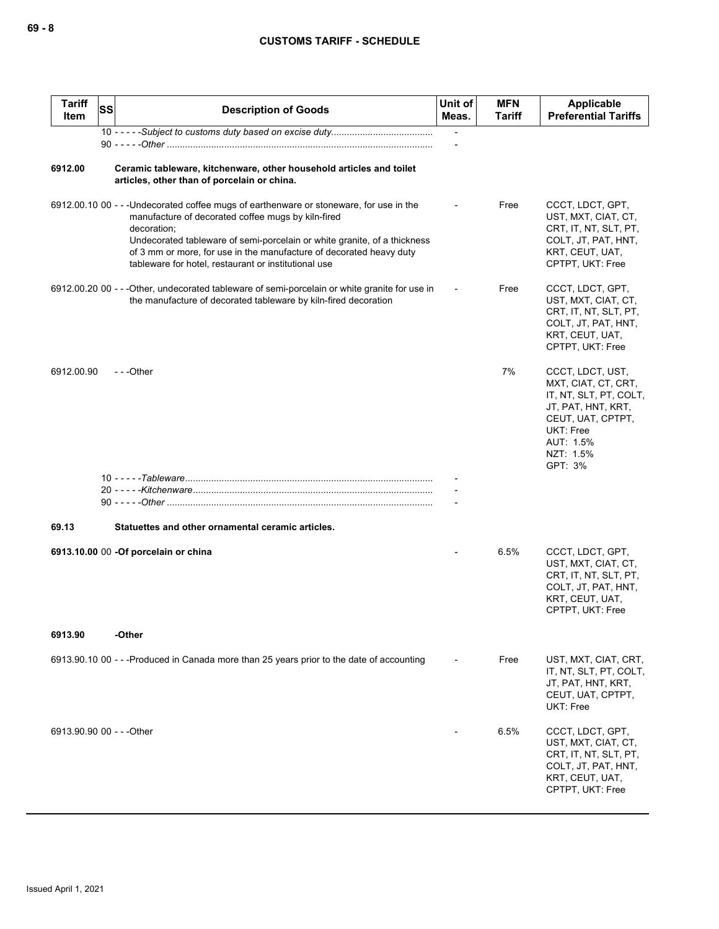| <b>Tariff</b><br>Item     | <b>SS</b> | <b>Description of Goods</b>                                                                                                                                                                                                                                                                                                                                             | Unit of<br>Meas.         | <b>MFN</b><br><b>Tariff</b> | Applicable<br><b>Preferential Tariffs</b>                                                                                                                      |
|---------------------------|-----------|-------------------------------------------------------------------------------------------------------------------------------------------------------------------------------------------------------------------------------------------------------------------------------------------------------------------------------------------------------------------------|--------------------------|-----------------------------|----------------------------------------------------------------------------------------------------------------------------------------------------------------|
|                           |           |                                                                                                                                                                                                                                                                                                                                                                         | $\overline{\phantom{a}}$ |                             |                                                                                                                                                                |
| 6912.00                   |           | Ceramic tableware, kitchenware, other household articles and toilet<br>articles, other than of porcelain or china.                                                                                                                                                                                                                                                      |                          |                             |                                                                                                                                                                |
|                           |           | 6912.00.10 00 - - - Undecorated coffee mugs of earthenware or stoneware, for use in the<br>manufacture of decorated coffee mugs by kiln-fired<br>decoration;<br>Undecorated tableware of semi-porcelain or white granite, of a thickness<br>of 3 mm or more, for use in the manufacture of decorated heavy duty<br>tableware for hotel, restaurant or institutional use |                          | Free                        | CCCT, LDCT, GPT,<br>UST, MXT, CIAT, CT,<br>CRT, IT, NT, SLT, PT,<br>COLT, JT, PAT, HNT,<br>KRT, CEUT, UAT,<br>CPTPT, UKT: Free                                 |
|                           |           | 6912.00.20 00 - - - Other, undecorated tableware of semi-porcelain or white granite for use in<br>the manufacture of decorated tableware by kiln-fired decoration                                                                                                                                                                                                       |                          | Free                        | CCCT, LDCT, GPT,<br>UST, MXT, CIAT, CT,<br>CRT, IT, NT, SLT, PT,<br>COLT, JT, PAT, HNT,<br>KRT, CEUT, UAT,<br>CPTPT, UKT: Free                                 |
| 6912.00.90                |           | ---Other                                                                                                                                                                                                                                                                                                                                                                |                          | 7%                          | CCCT, LDCT, UST,<br>MXT, CIAT, CT, CRT,<br>IT, NT, SLT, PT, COLT,<br>JT, PAT, HNT, KRT,<br>CEUT, UAT, CPTPT,<br>UKT: Free<br>AUT: 1.5%<br>NZT: 1.5%<br>GPT: 3% |
|                           |           |                                                                                                                                                                                                                                                                                                                                                                         |                          |                             |                                                                                                                                                                |
| 69.13                     |           | Statuettes and other ornamental ceramic articles.                                                                                                                                                                                                                                                                                                                       |                          |                             |                                                                                                                                                                |
|                           |           | 6913.10.00 00 - Of porcelain or china                                                                                                                                                                                                                                                                                                                                   |                          | 6.5%                        | CCCT, LDCT, GPT,<br>UST, MXT, CIAT, CT,<br>CRT, IT, NT, SLT, PT,<br>COLT, JT, PAT, HNT,<br>KRT, CEUT, UAT,<br>CPTPT, UKT: Free                                 |
| 6913.90                   |           | -Other                                                                                                                                                                                                                                                                                                                                                                  |                          |                             |                                                                                                                                                                |
|                           |           | 6913.90.10 00 - - -Produced in Canada more than 25 years prior to the date of accounting                                                                                                                                                                                                                                                                                |                          | Free                        | UST, MXT, CIAT, CRT,<br>IT, NT, SLT, PT, COLT,<br>JT, PAT, HNT, KRT,<br>CEUT, UAT, CPTPT,<br>UKT: Free                                                         |
| 6913.90.90 00 - - - Other |           |                                                                                                                                                                                                                                                                                                                                                                         |                          | 6.5%                        | CCCT, LDCT, GPT,<br>UST, MXT, CIAT, CT,<br>CRT, IT, NT, SLT, PT,<br>COLT, JT, PAT, HNT,<br>KRT, CEUT, UAT,<br>CPTPT, UKT: Free                                 |